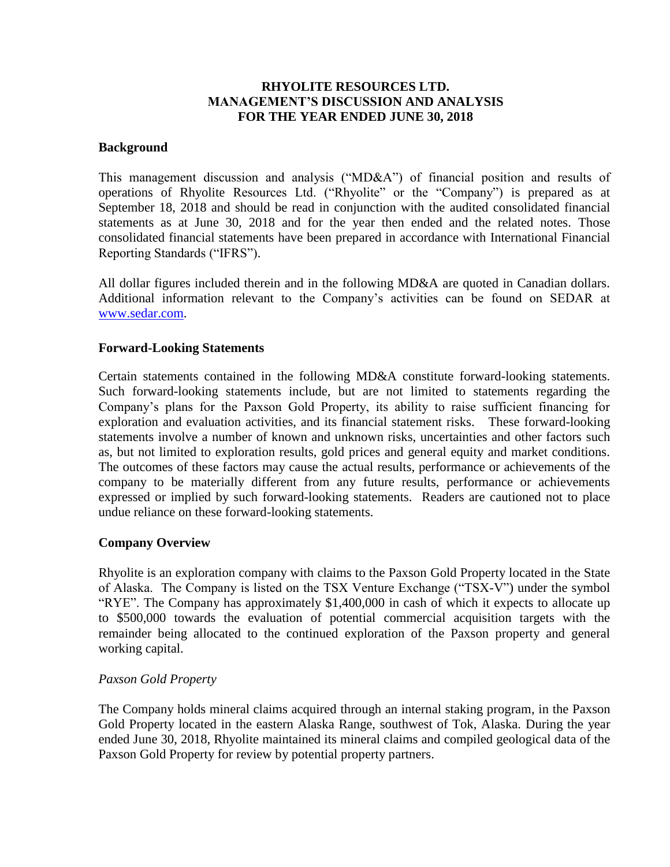# **RHYOLITE RESOURCES LTD. MANAGEMENT'S DISCUSSION AND ANALYSIS FOR THE YEAR ENDED JUNE 30, 2018**

#### **Background**

This management discussion and analysis ("MD&A") of financial position and results of operations of Rhyolite Resources Ltd. ("Rhyolite" or the "Company") is prepared as at September 18, 2018 and should be read in conjunction with the audited consolidated financial statements as at June 30, 2018 and for the year then ended and the related notes. Those consolidated financial statements have been prepared in accordance with International Financial Reporting Standards ("IFRS").

All dollar figures included therein and in the following MD&A are quoted in Canadian dollars. Additional information relevant to the Company's activities can be found on SEDAR at [www.sedar.com.](http://www.sedar.com/)

#### **Forward-Looking Statements**

Certain statements contained in the following MD&A constitute forward-looking statements. Such forward-looking statements include, but are not limited to statements regarding the Company's plans for the Paxson Gold Property, its ability to raise sufficient financing for exploration and evaluation activities, and its financial statement risks. These forward-looking statements involve a number of known and unknown risks, uncertainties and other factors such as, but not limited to exploration results, gold prices and general equity and market conditions. The outcomes of these factors may cause the actual results, performance or achievements of the company to be materially different from any future results, performance or achievements expressed or implied by such forward-looking statements. Readers are cautioned not to place undue reliance on these forward-looking statements.

#### **Company Overview**

Rhyolite is an exploration company with claims to the Paxson Gold Property located in the State of Alaska. The Company is listed on the TSX Venture Exchange ("TSX-V") under the symbol "RYE". The Company has approximately \$1,400,000 in cash of which it expects to allocate up to \$500,000 towards the evaluation of potential commercial acquisition targets with the remainder being allocated to the continued exploration of the Paxson property and general working capital.

#### *Paxson Gold Property*

The Company holds mineral claims acquired through an internal staking program, in the Paxson Gold Property located in the eastern Alaska Range, southwest of Tok, Alaska. During the year ended June 30, 2018, Rhyolite maintained its mineral claims and compiled geological data of the Paxson Gold Property for review by potential property partners.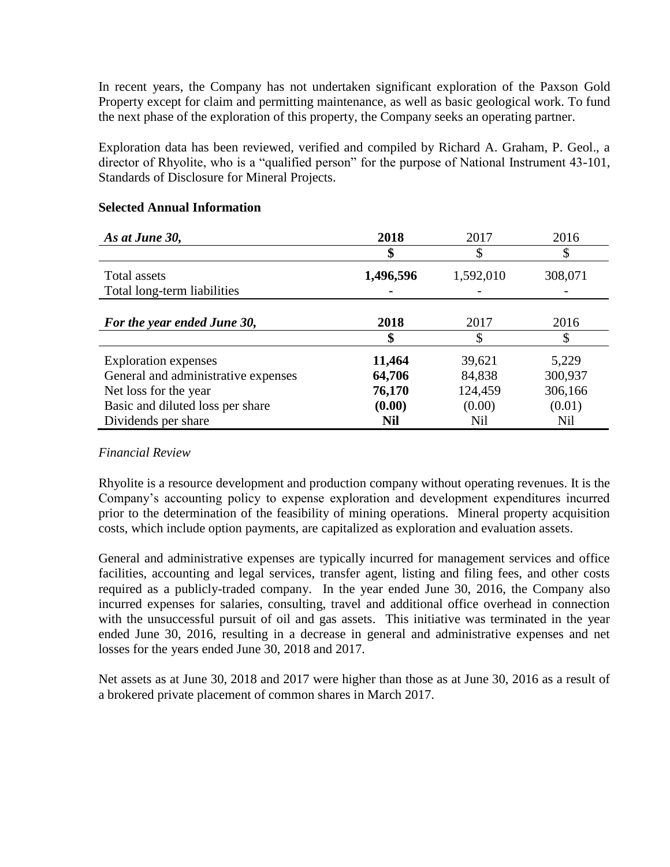In recent years, the Company has not undertaken significant exploration of the Paxson Gold Property except for claim and permitting maintenance, as well as basic geological work. To fund the next phase of the exploration of this property, the Company seeks an operating partner.

Exploration data has been reviewed, verified and compiled by Richard A. Graham, P. Geol., a director of Rhyolite, who is a "qualified person" for the purpose of National Instrument 43-101, Standards of Disclosure for Mineral Projects.

| As at June 30,                      | 2018       | 2017      | 2016    |
|-------------------------------------|------------|-----------|---------|
|                                     | \$         |           | \$      |
| Total assets                        | 1,496,596  | 1,592,010 | 308,071 |
| Total long-term liabilities         |            |           |         |
|                                     |            |           |         |
| For the year ended June 30,         | 2018       | 2017      | 2016    |
|                                     | \$         |           | \$      |
| <b>Exploration</b> expenses         | 11,464     | 39,621    | 5,229   |
| General and administrative expenses | 64,706     | 84,838    | 300,937 |
| Net loss for the year               | 76,170     | 124,459   | 306,166 |
| Basic and diluted loss per share    | (0.00)     | (0.00)    | (0.01)  |
| Dividends per share                 | <b>Nil</b> | Nil       | Nil     |

# **Selected Annual Information**

#### *Financial Review*

Rhyolite is a resource development and production company without operating revenues. It is the Company's accounting policy to expense exploration and development expenditures incurred prior to the determination of the feasibility of mining operations. Mineral property acquisition costs, which include option payments, are capitalized as exploration and evaluation assets.

General and administrative expenses are typically incurred for management services and office facilities, accounting and legal services, transfer agent, listing and filing fees, and other costs required as a publicly-traded company. In the year ended June 30, 2016, the Company also incurred expenses for salaries, consulting, travel and additional office overhead in connection with the unsuccessful pursuit of oil and gas assets. This initiative was terminated in the year ended June 30, 2016, resulting in a decrease in general and administrative expenses and net losses for the years ended June 30, 2018 and 2017.

Net assets as at June 30, 2018 and 2017 were higher than those as at June 30, 2016 as a result of a brokered private placement of common shares in March 2017.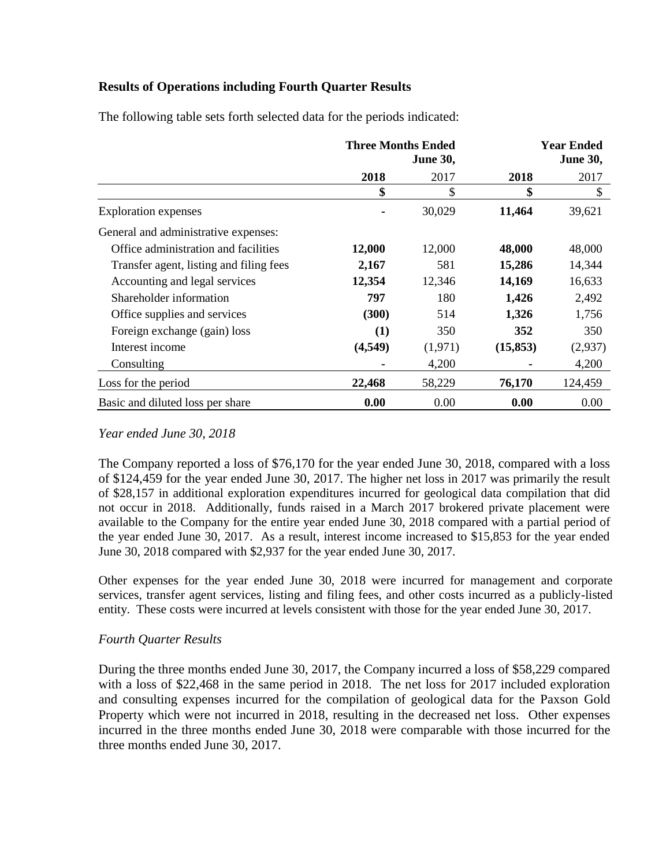# **Results of Operations including Fourth Quarter Results**

|                                         | Three Months Ended<br><b>June 30,</b> |         | <b>Year Ended</b><br><b>June 30,</b> |         |
|-----------------------------------------|---------------------------------------|---------|--------------------------------------|---------|
|                                         | 2018                                  | 2017    | 2018                                 | 2017    |
|                                         | \$                                    | \$      | \$                                   | \$      |
| <b>Exploration</b> expenses             |                                       | 30,029  | 11,464                               | 39,621  |
| General and administrative expenses:    |                                       |         |                                      |         |
| Office administration and facilities    | 12,000                                | 12,000  | 48,000                               | 48,000  |
| Transfer agent, listing and filing fees | 2,167                                 | 581     | 15,286                               | 14,344  |
| Accounting and legal services           | 12,354                                | 12,346  | 14,169                               | 16,633  |
| Shareholder information                 | 797                                   | 180     | 1,426                                | 2,492   |
| Office supplies and services            | (300)                                 | 514     | 1,326                                | 1,756   |
| Foreign exchange (gain) loss            | (1)                                   | 350     | 352                                  | 350     |
| Interest income                         | (4,549)                               | (1,971) | (15, 853)                            | (2,937) |
| Consulting                              |                                       | 4,200   |                                      | 4,200   |
| Loss for the period                     | 22,468                                | 58,229  | 76,170                               | 124,459 |
| Basic and diluted loss per share        | 0.00                                  | 0.00    | 0.00                                 | 0.00    |

The following table sets forth selected data for the periods indicated:

## *Year ended June 30, 2018*

The Company reported a loss of \$76,170 for the year ended June 30, 2018, compared with a loss of \$124,459 for the year ended June 30, 2017. The higher net loss in 2017 was primarily the result of \$28,157 in additional exploration expenditures incurred for geological data compilation that did not occur in 2018. Additionally, funds raised in a March 2017 brokered private placement were available to the Company for the entire year ended June 30, 2018 compared with a partial period of the year ended June 30, 2017. As a result, interest income increased to \$15,853 for the year ended June 30, 2018 compared with \$2,937 for the year ended June 30, 2017.

Other expenses for the year ended June 30, 2018 were incurred for management and corporate services, transfer agent services, listing and filing fees, and other costs incurred as a publicly-listed entity. These costs were incurred at levels consistent with those for the year ended June 30, 2017.

# *Fourth Quarter Results*

During the three months ended June 30, 2017, the Company incurred a loss of \$58,229 compared with a loss of \$22,468 in the same period in 2018. The net loss for 2017 included exploration and consulting expenses incurred for the compilation of geological data for the Paxson Gold Property which were not incurred in 2018, resulting in the decreased net loss. Other expenses incurred in the three months ended June 30, 2018 were comparable with those incurred for the three months ended June 30, 2017.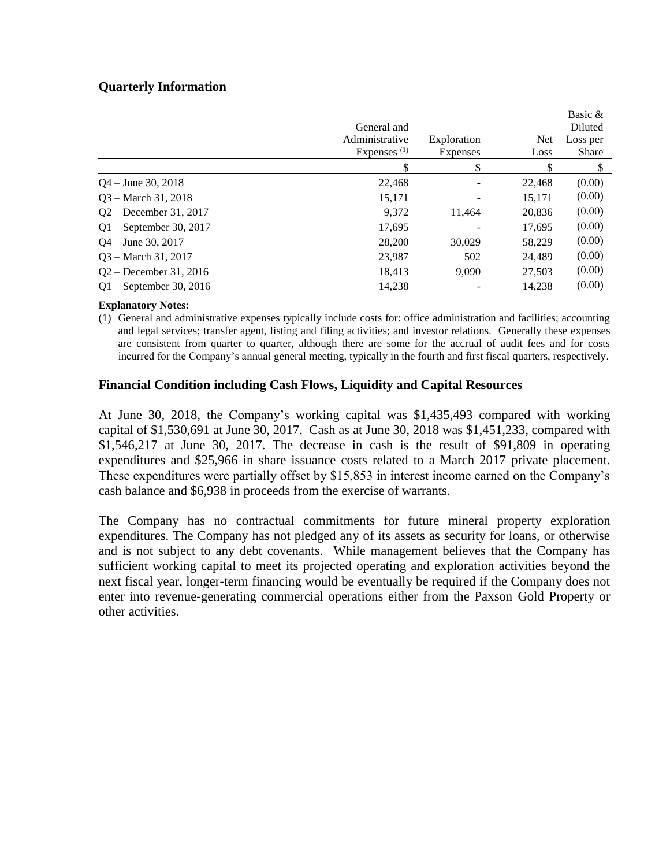# **Quarterly Information**

|                           | General and    |                 |            | Basic $\&$<br>Diluted |
|---------------------------|----------------|-----------------|------------|-----------------------|
|                           | Administrative | Exploration     | <b>Net</b> | Loss per              |
|                           | Expenses $(1)$ | <b>Expenses</b> | Loss       | <b>Share</b>          |
|                           |                |                 |            |                       |
| $Q_4$ – June 30, 2018     | 22,468         |                 | 22,468     | (0.00)                |
| $Q3 - March 31, 2018$     | 15,171         |                 | 15,171     | (0.00)                |
| $Q2 - December 31, 2017$  | 9,372          | 11,464          | 20,836     | (0.00)                |
| $Q1$ – September 30, 2017 | 17,695         |                 | 17,695     | (0.00)                |
| $Q_4$ – June 30, 2017     | 28,200         | 30,029          | 58,229     | (0.00)                |
| $Q3 - March 31, 2017$     | 23,987         | 502             | 24,489     | (0.00)                |
| $Q2 - December 31, 2016$  | 18,413         | 9,090           | 27,503     | (0.00)                |
| $Q1 -$ September 30, 2016 | 14.238         |                 | 14,238     | (0.00)                |

#### **Explanatory Notes:**

(1) General and administrative expenses typically include costs for: office administration and facilities; accounting and legal services; transfer agent, listing and filing activities; and investor relations. Generally these expenses are consistent from quarter to quarter, although there are some for the accrual of audit fees and for costs incurred for the Company's annual general meeting, typically in the fourth and first fiscal quarters, respectively.

#### **Financial Condition including Cash Flows, Liquidity and Capital Resources**

At June 30, 2018, the Company's working capital was \$1,435,493 compared with working capital of \$1,530,691 at June 30, 2017. Cash as at June 30, 2018 was \$1,451,233, compared with \$1,546,217 at June 30, 2017. The decrease in cash is the result of \$91,809 in operating expenditures and \$25,966 in share issuance costs related to a March 2017 private placement. These expenditures were partially offset by \$15,853 in interest income earned on the Company's cash balance and \$6,938 in proceeds from the exercise of warrants.

The Company has no contractual commitments for future mineral property exploration expenditures. The Company has not pledged any of its assets as security for loans, or otherwise and is not subject to any debt covenants. While management believes that the Company has sufficient working capital to meet its projected operating and exploration activities beyond the next fiscal year, longer-term financing would be eventually be required if the Company does not enter into revenue-generating commercial operations either from the Paxson Gold Property or other activities.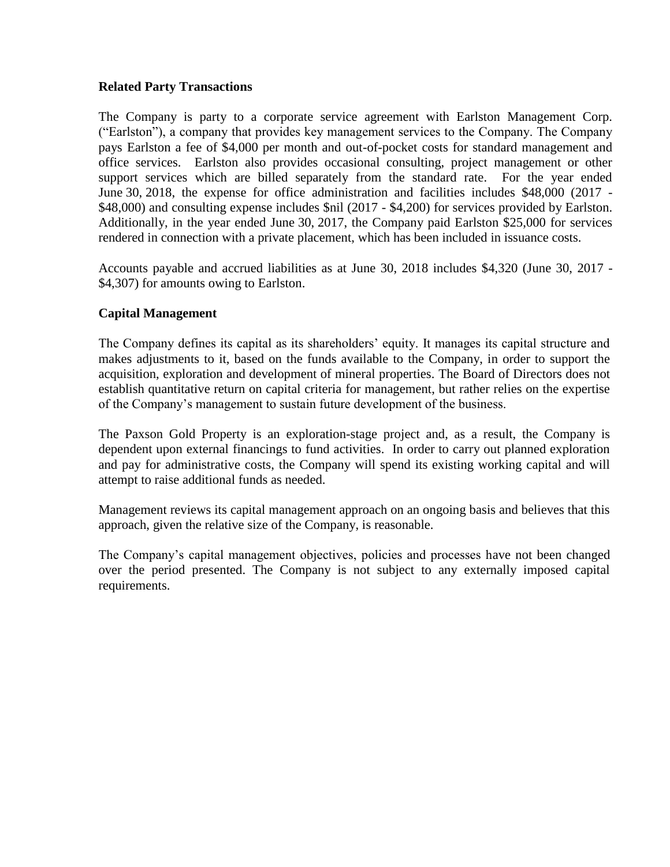# **Related Party Transactions**

The Company is party to a corporate service agreement with Earlston Management Corp. ("Earlston"), a company that provides key management services to the Company. The Company pays Earlston a fee of \$4,000 per month and out-of-pocket costs for standard management and office services. Earlston also provides occasional consulting, project management or other support services which are billed separately from the standard rate. For the year ended June 30, 2018, the expense for office administration and facilities includes \$48,000 (2017 - \$48,000) and consulting expense includes \$nil (2017 - \$4,200) for services provided by Earlston. Additionally, in the year ended June 30, 2017, the Company paid Earlston \$25,000 for services rendered in connection with a private placement, which has been included in issuance costs.

Accounts payable and accrued liabilities as at June 30, 2018 includes \$4,320 (June 30, 2017 - \$4,307) for amounts owing to Earlston.

# **Capital Management**

The Company defines its capital as its shareholders' equity. It manages its capital structure and makes adjustments to it, based on the funds available to the Company, in order to support the acquisition, exploration and development of mineral properties. The Board of Directors does not establish quantitative return on capital criteria for management, but rather relies on the expertise of the Company's management to sustain future development of the business.

The Paxson Gold Property is an exploration-stage project and, as a result, the Company is dependent upon external financings to fund activities. In order to carry out planned exploration and pay for administrative costs, the Company will spend its existing working capital and will attempt to raise additional funds as needed.

Management reviews its capital management approach on an ongoing basis and believes that this approach, given the relative size of the Company, is reasonable.

The Company's capital management objectives, policies and processes have not been changed over the period presented. The Company is not subject to any externally imposed capital requirements.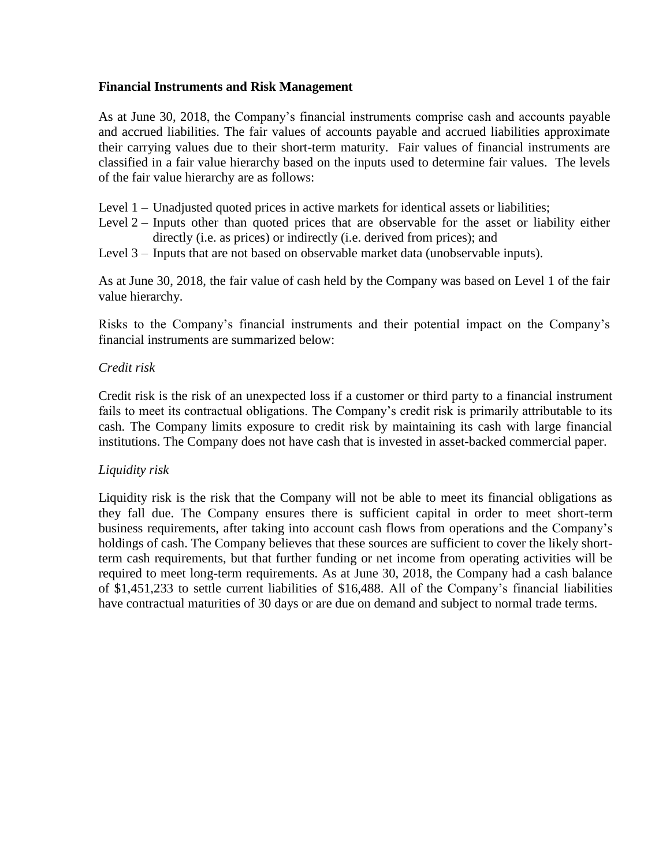### **Financial Instruments and Risk Management**

As at June 30, 2018, the Company's financial instruments comprise cash and accounts payable and accrued liabilities. The fair values of accounts payable and accrued liabilities approximate their carrying values due to their short-term maturity. Fair values of financial instruments are classified in a fair value hierarchy based on the inputs used to determine fair values. The levels of the fair value hierarchy are as follows:

- Level 1 Unadjusted quoted prices in active markets for identical assets or liabilities;
- Level  $2$  Inputs other than quoted prices that are observable for the asset or liability either directly (i.e. as prices) or indirectly (i.e. derived from prices); and
- Level 3 Inputs that are not based on observable market data (unobservable inputs).

As at June 30, 2018, the fair value of cash held by the Company was based on Level 1 of the fair value hierarchy.

Risks to the Company's financial instruments and their potential impact on the Company's financial instruments are summarized below:

# *Credit risk*

Credit risk is the risk of an unexpected loss if a customer or third party to a financial instrument fails to meet its contractual obligations. The Company's credit risk is primarily attributable to its cash. The Company limits exposure to credit risk by maintaining its cash with large financial institutions. The Company does not have cash that is invested in asset-backed commercial paper.

# *Liquidity risk*

Liquidity risk is the risk that the Company will not be able to meet its financial obligations as they fall due. The Company ensures there is sufficient capital in order to meet short-term business requirements, after taking into account cash flows from operations and the Company's holdings of cash. The Company believes that these sources are sufficient to cover the likely shortterm cash requirements, but that further funding or net income from operating activities will be required to meet long-term requirements. As at June 30, 2018, the Company had a cash balance of \$1,451,233 to settle current liabilities of \$16,488. All of the Company's financial liabilities have contractual maturities of 30 days or are due on demand and subject to normal trade terms.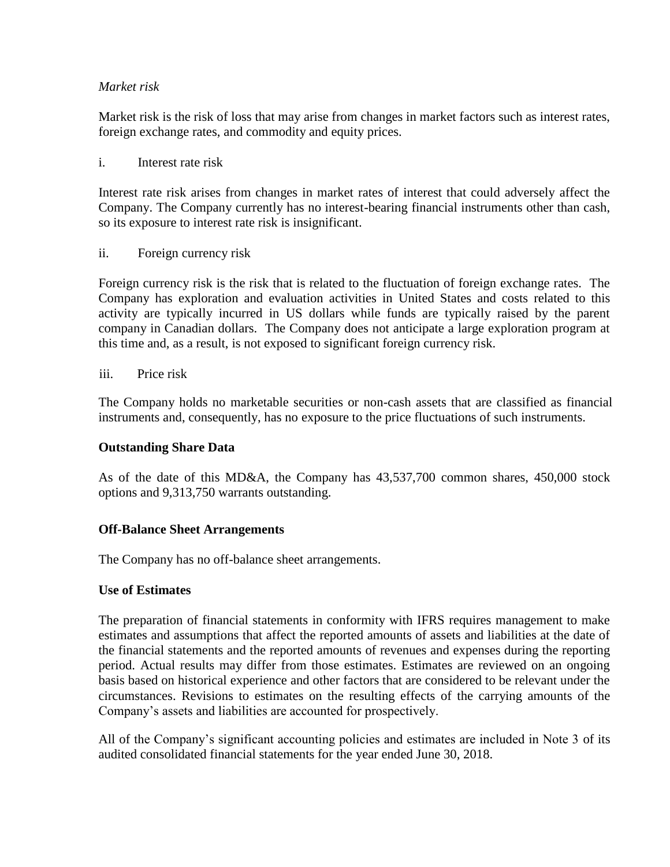# *Market risk*

Market risk is the risk of loss that may arise from changes in market factors such as interest rates, foreign exchange rates, and commodity and equity prices.

## i. Interest rate risk

Interest rate risk arises from changes in market rates of interest that could adversely affect the Company. The Company currently has no interest-bearing financial instruments other than cash, so its exposure to interest rate risk is insignificant.

ii. Foreign currency risk

Foreign currency risk is the risk that is related to the fluctuation of foreign exchange rates. The Company has exploration and evaluation activities in United States and costs related to this activity are typically incurred in US dollars while funds are typically raised by the parent company in Canadian dollars. The Company does not anticipate a large exploration program at this time and, as a result, is not exposed to significant foreign currency risk.

iii. Price risk

The Company holds no marketable securities or non-cash assets that are classified as financial instruments and, consequently, has no exposure to the price fluctuations of such instruments.

#### **Outstanding Share Data**

As of the date of this MD&A, the Company has 43,537,700 common shares, 450,000 stock options and 9,313,750 warrants outstanding.

#### **Off-Balance Sheet Arrangements**

The Company has no off-balance sheet arrangements.

#### **Use of Estimates**

The preparation of financial statements in conformity with IFRS requires management to make estimates and assumptions that affect the reported amounts of assets and liabilities at the date of the financial statements and the reported amounts of revenues and expenses during the reporting period. Actual results may differ from those estimates. Estimates are reviewed on an ongoing basis based on historical experience and other factors that are considered to be relevant under the circumstances. Revisions to estimates on the resulting effects of the carrying amounts of the Company's assets and liabilities are accounted for prospectively.

All of the Company's significant accounting policies and estimates are included in Note 3 of its audited consolidated financial statements for the year ended June 30, 2018.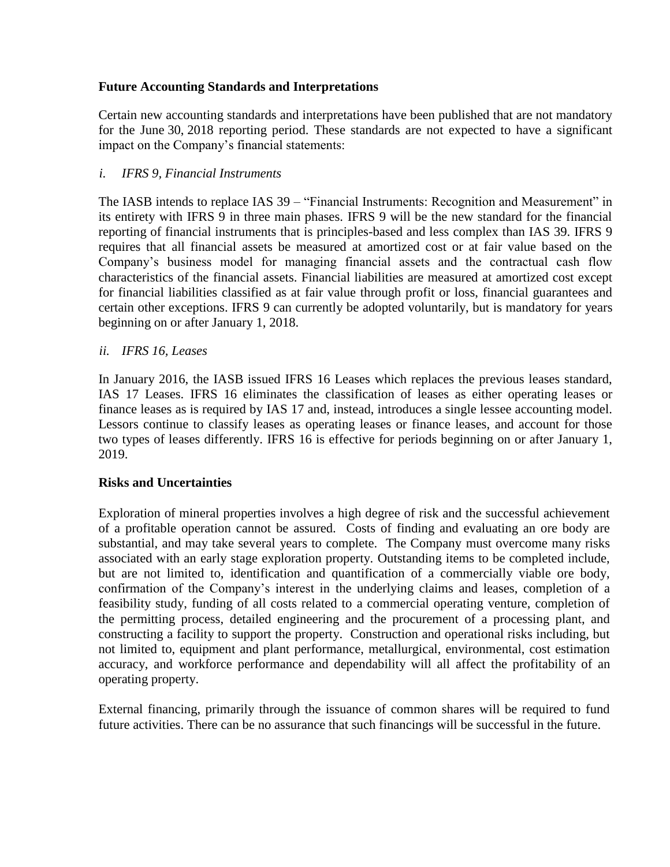# **Future Accounting Standards and Interpretations**

Certain new accounting standards and interpretations have been published that are not mandatory for the June 30, 2018 reporting period. These standards are not expected to have a significant impact on the Company's financial statements:

# *i. IFRS 9, Financial Instruments*

The IASB intends to replace IAS 39 – "Financial Instruments: Recognition and Measurement" in its entirety with IFRS 9 in three main phases. IFRS 9 will be the new standard for the financial reporting of financial instruments that is principles-based and less complex than IAS 39. IFRS 9 requires that all financial assets be measured at amortized cost or at fair value based on the Company's business model for managing financial assets and the contractual cash flow characteristics of the financial assets. Financial liabilities are measured at amortized cost except for financial liabilities classified as at fair value through profit or loss, financial guarantees and certain other exceptions. IFRS 9 can currently be adopted voluntarily, but is mandatory for years beginning on or after January 1, 2018.

#### *ii. IFRS 16, Leases*

In January 2016, the IASB issued IFRS 16 Leases which replaces the previous leases standard, IAS 17 Leases. IFRS 16 eliminates the classification of leases as either operating leases or finance leases as is required by IAS 17 and, instead, introduces a single lessee accounting model. Lessors continue to classify leases as operating leases or finance leases, and account for those two types of leases differently. IFRS 16 is effective for periods beginning on or after January 1, 2019.

#### **Risks and Uncertainties**

Exploration of mineral properties involves a high degree of risk and the successful achievement of a profitable operation cannot be assured. Costs of finding and evaluating an ore body are substantial, and may take several years to complete. The Company must overcome many risks associated with an early stage exploration property. Outstanding items to be completed include, but are not limited to, identification and quantification of a commercially viable ore body, confirmation of the Company's interest in the underlying claims and leases, completion of a feasibility study, funding of all costs related to a commercial operating venture, completion of the permitting process, detailed engineering and the procurement of a processing plant, and constructing a facility to support the property. Construction and operational risks including, but not limited to, equipment and plant performance, metallurgical, environmental, cost estimation accuracy, and workforce performance and dependability will all affect the profitability of an operating property.

External financing, primarily through the issuance of common shares will be required to fund future activities. There can be no assurance that such financings will be successful in the future.